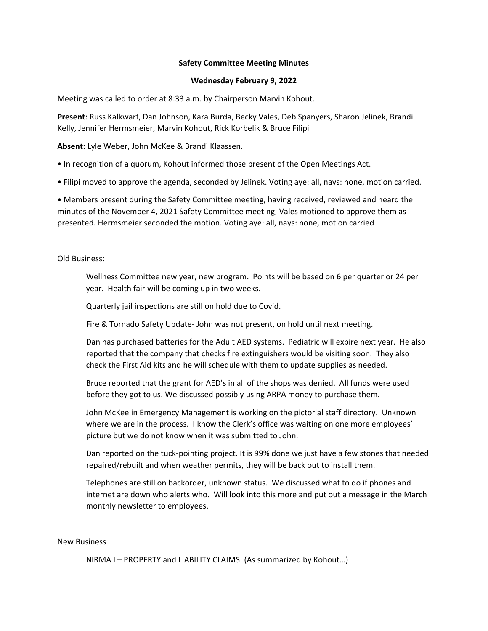## **Safety Committee Meeting Minutes**

## **Wednesday February 9, 2022**

Meeting was called to order at 8:33 a.m. by Chairperson Marvin Kohout.

**Present**: Russ Kalkwarf, Dan Johnson, Kara Burda, Becky Vales, Deb Spanyers, Sharon Jelinek, Brandi Kelly, Jennifer Hermsmeier, Marvin Kohout, Rick Korbelik & Bruce Filipi

**Absent:** Lyle Weber, John McKee & Brandi Klaassen.

• In recognition of a quorum, Kohout informed those present of the Open Meetings Act.

• Filipi moved to approve the agenda, seconded by Jelinek. Voting aye: all, nays: none, motion carried.

• Members present during the Safety Committee meeting, having received, reviewed and heard the minutes of the November 4, 2021 Safety Committee meeting, Vales motioned to approve them as presented. Hermsmeier seconded the motion. Voting aye: all, nays: none, motion carried

Old Business:

Wellness Committee new year, new program. Points will be based on 6 per quarter or 24 per year. Health fair will be coming up in two weeks.

Quarterly jail inspections are still on hold due to Covid.

Fire & Tornado Safety Update‐ John was not present, on hold until next meeting.

Dan has purchased batteries for the Adult AED systems. Pediatric will expire next year. He also reported that the company that checks fire extinguishers would be visiting soon. They also check the First Aid kits and he will schedule with them to update supplies as needed.

Bruce reported that the grant for AED's in all of the shops was denied. All funds were used before they got to us. We discussed possibly using ARPA money to purchase them.

John McKee in Emergency Management is working on the pictorial staff directory. Unknown where we are in the process. I know the Clerk's office was waiting on one more employees' picture but we do not know when it was submitted to John.

Dan reported on the tuck‐pointing project. It is 99% done we just have a few stones that needed repaired/rebuilt and when weather permits, they will be back out to install them.

Telephones are still on backorder, unknown status. We discussed what to do if phones and internet are down who alerts who. Will look into this more and put out a message in the March monthly newsletter to employees.

## New Business

NIRMA I – PROPERTY and LIABILITY CLAIMS: (As summarized by Kohout…)